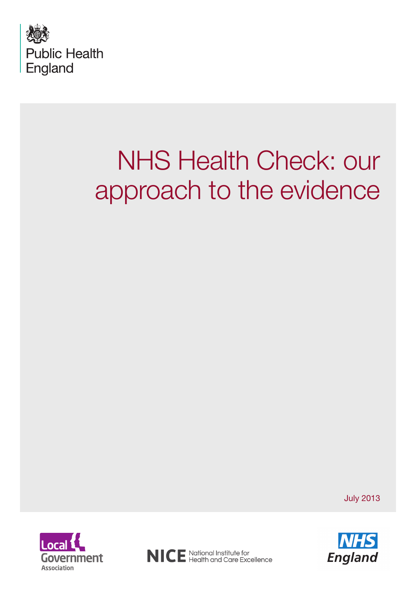

# NHS Health Check: our approach to the evidence

July 2013





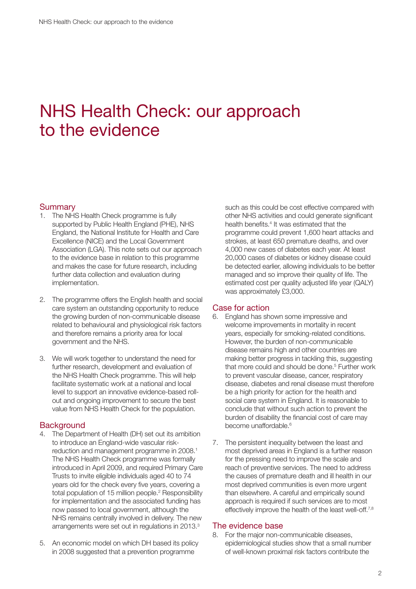## NHS Health Check: our approach to the evidence

#### **Summary**

- 1. The NHS Health Check programme is fully supported by Public Health England (PHE), NHS England, the National Institute for Health and Care Excellence (NICE) and the Local Government Association (LGA). This note sets out our approach to the evidence base in relation to this programme and makes the case for future research, including further data collection and evaluation during implementation.
- 2. The programme offers the English health and social care system an outstanding opportunity to reduce the growing burden of non-communicable disease related to behavioural and physiological risk factors and therefore remains a priority area for local government and the NHS.
- 3. We will work together to understand the need for further research, development and evaluation of the NHS Health Check programme. This will help facilitate systematic work at a national and local level to support an innovative evidence-based rollout and ongoing improvement to secure the best value from NHS Health Check for the population.

#### **Background**

- 4. The Department of Health (DH) set out its ambition to introduce an England-wide vascular riskreduction and management programme in 2008.<sup>1</sup> The NHS Health Check programme was formally introduced in April 2009, and required Primary Care Trusts to invite eligible individuals aged 40 to 74 years old for the check every five years, covering a total population of 15 million people.<sup>2</sup> Responsibility for implementation and the associated funding has now passed to local government, although the NHS remains centrally involved in delivery. The new arrangements were set out in regulations in 2013.3
- 5. An economic model on which DH based its policy in 2008 suggested that a prevention programme

such as this could be cost effective compared with other NHS activities and could generate significant health benefits.<sup>4</sup> It was estimated that the programme could prevent 1,600 heart attacks and strokes, at least 650 premature deaths, and over 4,000 new cases of diabetes each year. At least 20,000 cases of diabetes or kidney disease could be detected earlier, allowing individuals to be better managed and so improve their quality of life. The estimated cost per quality adjusted life year (QALY) was approximately £3,000.

#### Case for action

- 6. England has shown some impressive and welcome improvements in mortality in recent years, especially for smoking-related conditions. However, the burden of non-communicable disease remains high and other countries are making better progress in tackling this, suggesting that more could and should be done.<sup>5</sup> Further work to prevent vascular disease, cancer, respiratory disease, diabetes and renal disease must therefore be a high priority for action for the health and social care system in England. It is reasonable to conclude that without such action to prevent the burden of disability the financial cost of care may become unaffordable.<sup>6</sup>
- 7. The persistent inequality between the least and most deprived areas in England is a further reason for the pressing need to improve the scale and reach of preventive services. The need to address the causes of premature death and ill health in our most deprived communities is even more urgent than elsewhere. A careful and empirically sound approach is required if such services are to most effectively improve the health of the least well-off.<sup>7,8</sup>

#### The evidence base

8. For the major non-communicable diseases, epidemiological studies show that a small number of well-known proximal risk factors contribute the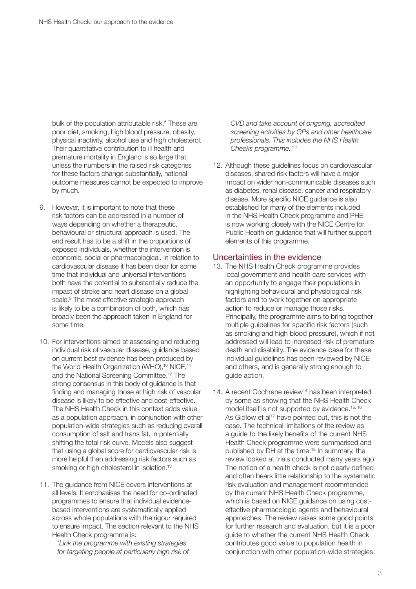bulk of the population attributable risk.<sup>5</sup> These are poor diet, smoking, high blood pressure, obesity, physical inactivity, alcohol use and high cholesterol. Their quantitative contribution to ill health and premature mortality in England is so large that unless the numbers in the raised risk categories for these factors change substantially, national outcome measures cannot be expected to improve by much.

- 9. However, it is important to note that these risk factors can be addressed in a number of ways depending on whether a therapeutic, behavioural or structural approach is used. The end result has to be a shift in the proportions of exposed individuals, whether the intervention is economic, social or pharmacological. In relation to cardiovascular disease it has been clear for some time that individual and universal interventions both have the potential to substantially reduce the impact of stroke and heart disease on a global scale.9 The most effective strategic approach is likely to be a combination of both, which has broadly been the approach taken in England for some time.
- 10. For interventions aimed at assessing and reducing individual risk of vascular disease, guidance based on current best evidence has been produced by the World Health Organization (WHO),<sup>10</sup> NICE,<sup>11</sup> and the National Screening Committee.12 The strong consensus in this body of guidance is that finding and managing those at high risk of vascular disease is likely to be effective and cost-effective. The NHS Health Check in this context adds value as a population approach, in conjunction with other population-wide strategies such as reducing overall consumption of salt and trans fat, in potentially shifting the total risk curve. Models also suggest that using a global score for cardiovascular risk is more helpful than addressing risk factors such as smoking or high cholesterol in isolation.<sup>13</sup>
- 11. The quidance from NICE covers interventions at all levels. It emphasises the need for co-ordinated programmes to ensure that individual evidencebased interventions are systematically applied across whole populations with the rigour required to ensure impact. The section relevant to the NHS Health Check programme is:

*'Link the programme with existing strategies for targeting people at particularly high risk of*  *CVD and take account of ongoing, accredited screening activities by GPs and other healthcare professionals. This includes the NHS Health Checks programme.'*<sup>11</sup>

12. Although these guidelines focus on cardiovascular diseases, shared risk factors will have a major impact on wider non-communicable diseases such as diabetes, renal disease, cancer and respiratory disease. More specific NICE guidance is also established for many of the elements included in the NHS Health Check programme and PHE is now working closely with the NICE Centre for Public Health on guidance that will further support elements of this programme.

#### Uncertainties in the evidence

- 13. The NHS Health Check programme provides local government and health care services with an opportunity to engage their populations in highlighting behavioural and physiological risk factors and to work together on appropriate action to reduce or manage those risks. Principally, the programme aims to bring together multiple guidelines for specific risk factors (such as smoking and high blood pressure), which if not addressed will lead to increased risk of premature death and disability. The evidence base for these individual guidelines has been reviewed by NICE and others, and is generally strong enough to guide action.
- 14. A recent Cochrane review<sup>14</sup> has been interpreted by some as showing that the NHS Health Check model itself is not supported by evidence.<sup>15, 16</sup> As Gidlow et al<sup>17</sup> have pointed out, this is not the case. The technical limitations of the review as a guide to the likely benefits of the current NHS Health Check programme were summarised and published by DH at the time.18 In summary, the review looked at trials conducted many years ago. The notion of a health check is not clearly defined and often bears little relationship to the systematic risk evaluation and management recommended by the current NHS Health Check programme, which is based on NICE guidance on using costeffective pharmacologic agents and behavioural approaches. The review raises some good points for further research and evaluation, but it is a poor guide to whether the current NHS Health Check contributes good value to population health in conjunction with other population-wide strategies.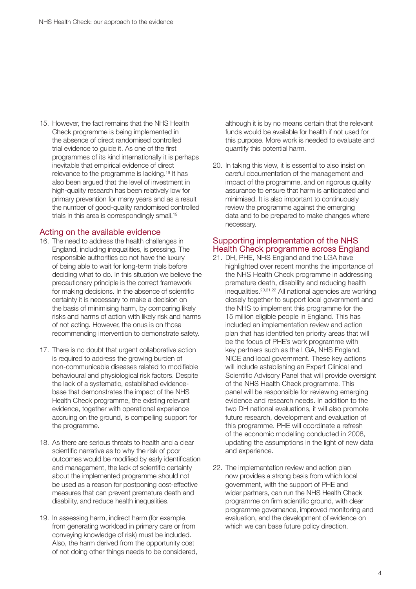15. However, the fact remains that the NHS Health Check programme is being implemented in the absence of direct randomised controlled trial evidence to guide it. As one of the first programmes of its kind internationally it is perhaps inevitable that empirical evidence of direct relevance to the programme is lacking.19 It has also been argued that the level of investment in high-quality research has been relatively low for primary prevention for many years and as a result the number of good-quality randomised controlled trials in this area is correspondingly small.<sup>19</sup>

#### Acting on the available evidence

- 16. The need to address the health challenges in England, including inequalities, is pressing. The responsible authorities do not have the luxury of being able to wait for long-term trials before deciding what to do. In this situation we believe the precautionary principle is the correct framework for making decisions. In the absence of scientific certainty it is necessary to make a decision on the basis of minimising harm, by comparing likely risks and harms of action with likely risk and harms of not acting. However, the onus is on those recommending intervention to demonstrate safety.
- 17. There is no doubt that urgent collaborative action is required to address the growing burden of non-communicable diseases related to modifiable behavioural and physiological risk factors. Despite the lack of a systematic, established evidencebase that demonstrates the impact of the NHS Health Check programme, the existing relevant evidence, together with operational experience accruing on the ground, is compelling support for the programme.
- 18. As there are serious threats to health and a clear scientific narrative as to why the risk of poor outcomes would be modified by early identification and management, the lack of scientific certainty about the implemented programme should not be used as a reason for postponing cost-effective measures that can prevent premature death and disability, and reduce health inequalities.
- 19. In assessing harm, indirect harm (for example, from generating workload in primary care or from conveying knowledge of risk) must be included. Also, the harm derived from the opportunity cost of not doing other things needs to be considered,

although it is by no means certain that the relevant funds would be available for health if not used for this purpose. More work is needed to evaluate and quantify this potential harm.

20. In taking this view, it is essential to also insist on careful documentation of the management and impact of the programme, and on rigorous quality assurance to ensure that harm is anticipated and minimised. It is also important to continuously review the programme against the emerging data and to be prepared to make changes where necessary.

#### Supporting implementation of the NHS Health Check programme across England

- 21. DH, PHE, NHS England and the LGA have highlighted over recent months the importance of the NHS Health Check programme in addressing premature death, disability and reducing health inequalities.20,21,22 All national agencies are working closely together to support local government and the NHS to implement this programme for the 15 million eligible people in England. This has included an implementation review and action plan that has identified ten priority areas that will be the focus of PHE's work programme with key partners such as the LGA, NHS England, NICE and local government. These key actions will include establishing an Expert Clinical and Scientific Advisory Panel that will provide oversight of the NHS Health Check programme. This panel will be responsible for reviewing emerging evidence and research needs. In addition to the two DH national evaluations, it will also promote future research, development and evaluation of this programme. PHE will coordinate a refresh of the economic modelling conducted in 2008, updating the assumptions in the light of new data and experience.
- 22. The implementation review and action plan now provides a strong basis from which local government, with the support of PHE and wider partners, can run the NHS Health Check programme on firm scientific ground, with clear programme governance, improved monitoring and evaluation, and the development of evidence on which we can base future policy direction.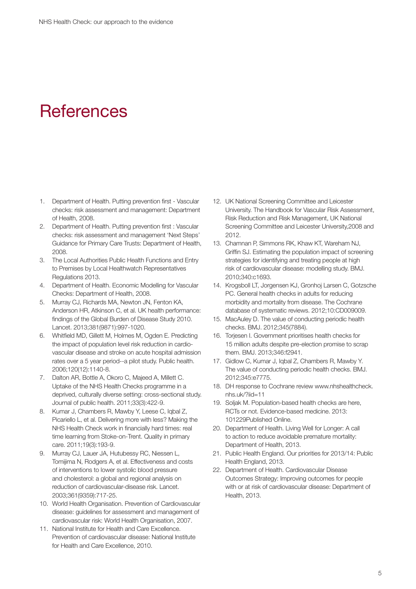### **References**

- 1. Department of Health. Putting prevention first Vascular checks: risk assessment and management: Department of Health, 2008.
- 2. Department of Health. Putting prevention first : Vascular checks: risk assessment and management 'Next Steps' Guidance for Primary Care Trusts: Department of Health, 2008.
- 3. The Local Authorities Public Health Functions and Entry to Premises by Local Healthwatch Representatives Regulations 2013.
- 4. Department of Health. Economic Modelling for Vascular Checks: Department of Health, 2008.
- 5. Murray CJ, Richards MA, Newton JN, Fenton KA, Anderson HR, Atkinson C, et al. UK health performance: findings of the Global Burden of Disease Study 2010. Lancet. 2013;381(9871):997-1020.
- 6. Whitfield MD, Gillett M, Holmes M, Ogden E. Predicting the impact of population level risk reduction in cardiovascular disease and stroke on acute hospital admission rates over a 5 year period--a pilot study. Public health. 2006;120(12):1140-8.
- 7. Dalton AR, Bottle A, Okoro C, Majeed A, Millett C. Uptake of the NHS Health Checks programme in a deprived, culturally diverse setting: cross-sectional study. Journal of public health. 2011;33(3):422-9.
- 8. Kumar J, Chambers R, Mawby Y, Leese C, Iqbal Z, Picariello L, et al. Delivering more with less? Making the NHS Health Check work in financially hard times: real time learning from Stoke-on-Trent. Quality in primary care. 2011;19(3):193-9.
- 9. Murray CJ, Lauer JA, Hutubessy RC, Niessen L, Tomijima N, Rodgers A, et al. Effectiveness and costs of interventions to lower systolic blood pressure and cholesterol: a global and regional analysis on reduction of cardiovascular-disease risk. Lancet. 2003;361(9359):717-25.
- 10. World Health Organisation. Prevention of Cardiovascular disease: guidelines for assessment and management of cardiovascular risk: World Health Organisation, 2007.
- 11. National Institute for Health and Care Excellence. Prevention of cardiovascular disease: National Institute for Health and Care Excellence, 2010.
- 12. UK National Screening Committee and Leicester University. The Handbook for Vascular Risk Assessment, Risk Reduction and Risk Management, UK National Screening Committee and Leicester University,2008 and 2012.
- 13. Chamnan P, Simmons RK, Khaw KT, Wareham NJ, Griffin SJ. Estimating the population impact of screening strategies for identifying and treating people at high risk of cardiovascular disease: modelling study. BMJ. 2010;340:c1693.
- 14. Krogsboll LT, Jorgensen KJ, Gronhoj Larsen C, Gotzsche PC. General health checks in adults for reducing morbidity and mortality from disease. The Cochrane database of systematic reviews. 2012;10:CD009009.
- 15. MacAuley D. The value of conducting periodic health checks. BMJ. 2012;345(7884).
- 16. Torjesen I. Government prioritises health checks for 15 million adults despite pre-election promise to scrap them. BMJ. 2013;346:f2941.
- 17. Gidlow C, Kumar J, Iqbal Z, Chambers R, Mawby Y. The value of conducting periodic health checks. BMJ. 2012;345:e7775.
- 18. DH response to Cochrane review [www.nhshealthcheck.](http://www.nhshealthcheck.nhs.uk/?iid=11) [nhs.uk/?iid=11](http://www.nhshealthcheck.nhs.uk/?iid=11)
- 19. Soliak M. Population-based health checks are here, RCTs or not. Evidence-based medicine. 2013: 101229Published Online.
- 20. Department of Health. Living Well for Longer: A call to action to reduce avoidable premature mortality: Department of Health, 2013.
- 21. Public Health England. Our priorities for 2013/14: Public Health England, 2013.
- 22. Department of Health. Cardiovascular Disease Outcomes Strategy: Improving outcomes for people with or at risk of cardiovascular disease: Department of Health, 2013.